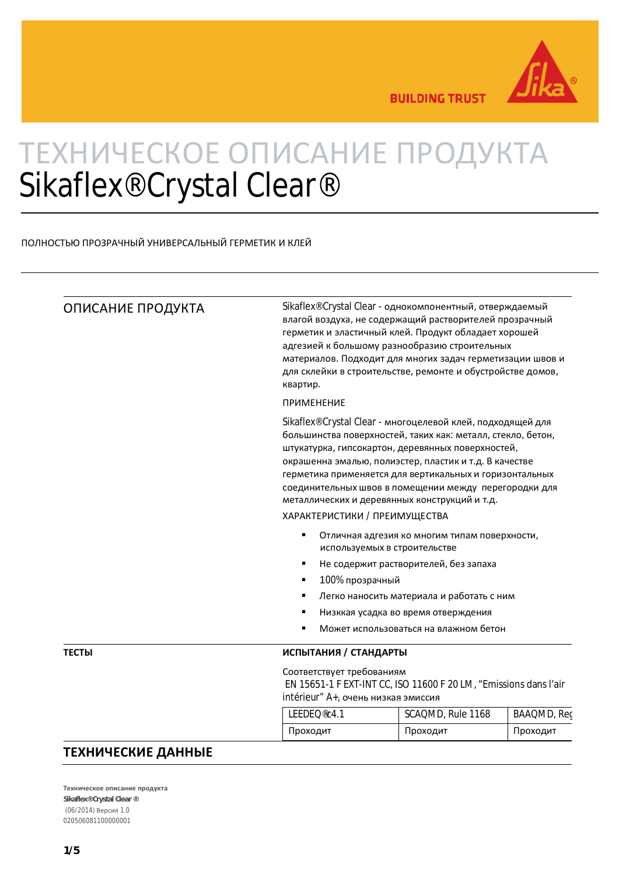

**BUILDING TRUST** 

## ТЕХНИЧЕСКОЕ ОПИСАНИЕ ПРОДУКТА Sikaflex® Crystal Clear®

## ПОЛНОСТЬЮ ПРОЗРАЧНЫЙ УНИВЕРСАЛЬНЫЙ ГЕРМЕТИК И КЛЕЙ

| ОПИСАНИЕ ПРОДУКТА | Sikaflex® Crystal Clear - однокомпонентный, отверждаемый<br>влагой воздуха, не содержащий растворителей прозрачный<br>герметик и эластичный клей. Продукт обладает хорошей<br>адгезией к большому разнообразию строительных<br>материалов. Подходит для многих задач герметизации швов и<br>для склейки в строительстве, ремонте и обустройстве домов,<br>квартир.<br><b>ПРИМЕНЕНИЕ</b><br>Sikaflex® Crystal Clear - многоцелевой клей, подходящей для<br>большинства поверхностей, таких как: металл, стекло, бетон,<br>штукатурка, гипсокартон, деревянных поверхностей,<br>окрашенна эмалью, полиэстер, пластик и т.д. В качестве<br>герметика применяется для вертикальных и горизонтальных<br>соединительных швов в помещении между перегородки для<br>металлических и деревянных конструкций и т.д.<br>ХАРАКТЕРИСТИКИ / ПРЕИМУЩЕСТВА<br>٠<br>Отличная адгезия ко многим типам поверхности,<br>используемых в строительстве<br>Не содержит растворителей, без запаха<br>100% прозрачный<br>Легко наносить материала и работать с ним<br>٠<br>Низккая усадка во время отверждения<br>Может использоваться на влажном бетон |                   |             |  |
|-------------------|--------------------------------------------------------------------------------------------------------------------------------------------------------------------------------------------------------------------------------------------------------------------------------------------------------------------------------------------------------------------------------------------------------------------------------------------------------------------------------------------------------------------------------------------------------------------------------------------------------------------------------------------------------------------------------------------------------------------------------------------------------------------------------------------------------------------------------------------------------------------------------------------------------------------------------------------------------------------------------------------------------------------------------------------------------------------------------------------------------------------------------|-------------------|-------------|--|
|                   |                                                                                                                                                                                                                                                                                                                                                                                                                                                                                                                                                                                                                                                                                                                                                                                                                                                                                                                                                                                                                                                                                                                                |                   |             |  |
|                   |                                                                                                                                                                                                                                                                                                                                                                                                                                                                                                                                                                                                                                                                                                                                                                                                                                                                                                                                                                                                                                                                                                                                |                   |             |  |
|                   |                                                                                                                                                                                                                                                                                                                                                                                                                                                                                                                                                                                                                                                                                                                                                                                                                                                                                                                                                                                                                                                                                                                                |                   |             |  |
|                   |                                                                                                                                                                                                                                                                                                                                                                                                                                                                                                                                                                                                                                                                                                                                                                                                                                                                                                                                                                                                                                                                                                                                |                   |             |  |
|                   |                                                                                                                                                                                                                                                                                                                                                                                                                                                                                                                                                                                                                                                                                                                                                                                                                                                                                                                                                                                                                                                                                                                                |                   |             |  |
|                   |                                                                                                                                                                                                                                                                                                                                                                                                                                                                                                                                                                                                                                                                                                                                                                                                                                                                                                                                                                                                                                                                                                                                |                   |             |  |
| <b>ТЕСТЫ</b>      |                                                                                                                                                                                                                                                                                                                                                                                                                                                                                                                                                                                                                                                                                                                                                                                                                                                                                                                                                                                                                                                                                                                                |                   |             |  |
|                   | Соответствует требованиям<br>EN 15651-1 F EXT-INT CC, ISO 11600 F 20 LM, "Emissions dans l'air<br>intérieur" А+, очень низкая эмиссия                                                                                                                                                                                                                                                                                                                                                                                                                                                                                                                                                                                                                                                                                                                                                                                                                                                                                                                                                                                          |                   |             |  |
|                   | LEEDEQ®c4.1                                                                                                                                                                                                                                                                                                                                                                                                                                                                                                                                                                                                                                                                                                                                                                                                                                                                                                                                                                                                                                                                                                                    | SCAQMD, Rule 1168 | BAAQMD, Rec |  |
|                   | Проходит                                                                                                                                                                                                                                                                                                                                                                                                                                                                                                                                                                                                                                                                                                                                                                                                                                                                                                                                                                                                                                                                                                                       | Проходит          | Проходит    |  |

## ТЕХНИЧЕСКИЕ ДАННЫЕ

Техническое описание продукта Sikaflex® Crystal Clear® (06/2014) Версия 1.0 020506081100000001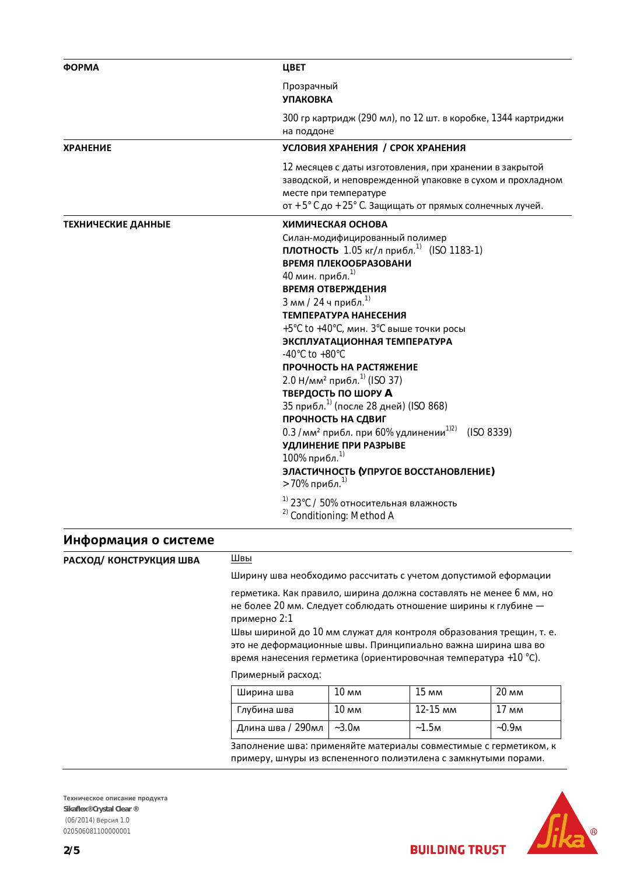| <b>OOPMA</b>                   | ЦВЕТ                                                                                                                                                                                                                                                                                                                                                                                                                                                                                                                                                                                                                                                                                                                                                                                                                                                                              |  |
|--------------------------------|-----------------------------------------------------------------------------------------------------------------------------------------------------------------------------------------------------------------------------------------------------------------------------------------------------------------------------------------------------------------------------------------------------------------------------------------------------------------------------------------------------------------------------------------------------------------------------------------------------------------------------------------------------------------------------------------------------------------------------------------------------------------------------------------------------------------------------------------------------------------------------------|--|
|                                | Прозрачный<br><b>УПАКОВКА</b>                                                                                                                                                                                                                                                                                                                                                                                                                                                                                                                                                                                                                                                                                                                                                                                                                                                     |  |
|                                | 300 гр картридж (290 мл), по 12 шт. в коробке, 1344 картриджи<br>на поддоне                                                                                                                                                                                                                                                                                                                                                                                                                                                                                                                                                                                                                                                                                                                                                                                                       |  |
| <b>ХРАНЕНИЕ</b>                | УСЛОВИЯ ХРАНЕНИЯ / СРОК ХРАНЕНИЯ                                                                                                                                                                                                                                                                                                                                                                                                                                                                                                                                                                                                                                                                                                                                                                                                                                                  |  |
|                                | 12 месяцев с даты изготовления, при хранении в закрытой<br>заводской, и неповрежденной упаковке в сухом и прохладном<br>месте при температуре<br>от + 5° С до + 25° С. Защищать от прямых солнечных лучей.                                                                                                                                                                                                                                                                                                                                                                                                                                                                                                                                                                                                                                                                        |  |
| ТЕХНИЧЕСКИЕ ДАННЫЕ             | ХИМИЧЕСКАЯ ОСНОВА<br>Силан-модифицированный полимер<br>ПЛОТНОСТЬ 1.05 кг/л прибл. <sup>1)</sup> (ISO 1183-1)<br>ВРЕМЯ ПЛЕКООБРАЗОВАНИ<br>40 мин. прибл. <sup>1)</sup><br><b>ВРЕМЯ ОТВЕРЖДЕНИЯ</b><br>3 мм / 24 ч прибл. <sup>1)</sup><br>ТЕМПЕРАТУРА НАНЕСЕНИЯ<br>+5°С to +40°С, мин. 3°С выше точки росы<br>ЭКСПЛУАТАЦИОННАЯ ТЕМПЕРАТУРА<br>-40 $^{\circ}$ C to +80 $^{\circ}$ C<br>ПРОЧНОСТЬ НА РАСТЯЖЕНИЕ<br>2.0 Н/мм <sup>2</sup> прибл. <sup>1)</sup> (ISO 37)<br><b>ТВЕРДОСТЬ ПО ШОРУ А</b><br>35 прибл. <sup>1)</sup> (после 28 дней) (ISO 868)<br>ПРОЧНОСТЬ НА СДВИГ<br>0.3 /мм <sup>2</sup> прибл. при 60% удлинении <sup>1)2)</sup> (ISO 8339)<br>УДЛИНЕНИЕ ПРИ РАЗРЫВЕ<br>100% прибл. <sup>1)</sup><br>ЭЛАСТИЧНОСТЬ (УПРУГОЕ ВОССТАНОВЛЕНИЕ)<br>> 70% прибл. <sup>1)</sup><br><sup>1)</sup> 23°С / 50% относительная влажность<br><sup>2)</sup> Conditioning: Method A |  |
| Информация о системе           |                                                                                                                                                                                                                                                                                                                                                                                                                                                                                                                                                                                                                                                                                                                                                                                                                                                                                   |  |
| Швы<br>РАСХОД/ КОНСТРУКЦИЯ ШВА |                                                                                                                                                                                                                                                                                                                                                                                                                                                                                                                                                                                                                                                                                                                                                                                                                                                                                   |  |

| РАСХОД/ КОНСТРУКЦИЯ ШВА | швы                                                                                                                                                                                                                                                                                                                                                           |                  |          |                 |
|-------------------------|---------------------------------------------------------------------------------------------------------------------------------------------------------------------------------------------------------------------------------------------------------------------------------------------------------------------------------------------------------------|------------------|----------|-----------------|
|                         | Ширину шва необходимо рассчитать с учетом допустимой еформации                                                                                                                                                                                                                                                                                                |                  |          |                 |
|                         | герметика. Как правило, ширина должна составлять не менее 6 мм, но<br>не более 20 мм. Следует соблюдать отношение ширины к глубине -<br>примерно 2:1<br>Швы шириной до 10 мм служат для контроля образования трещин, т. е.<br>это не деформационные швы. Принципиально важна ширина шва во<br>время нанесения герметика (ориентировочная температура +10 °С). |                  |          |                 |
|                         | Примерный расход:                                                                                                                                                                                                                                                                                                                                             |                  |          |                 |
|                         | Ширина шва                                                                                                                                                                                                                                                                                                                                                    | 10 <sub>mm</sub> | 15 MM    | $20 \text{ mm}$ |
|                         | Глубина шва                                                                                                                                                                                                                                                                                                                                                   | 10 мм            | 12-15 MM | $17 \text{ mm}$ |
|                         | Длина шва / 290мл                                                                                                                                                                                                                                                                                                                                             | $~-3.0M$         | ~1.5m    | $-0.9M$         |
|                         | Заполнение шва: применяйте материалы совместимые с герметиком, к<br>примеру, шнуры из вспененного полиэтилена с замкнутыми порами.                                                                                                                                                                                                                            |                  |          |                 |

Техническое описание продукта Sikaflex® Crystal Clear ® (06/2014) Версия 1.0 020506081100000001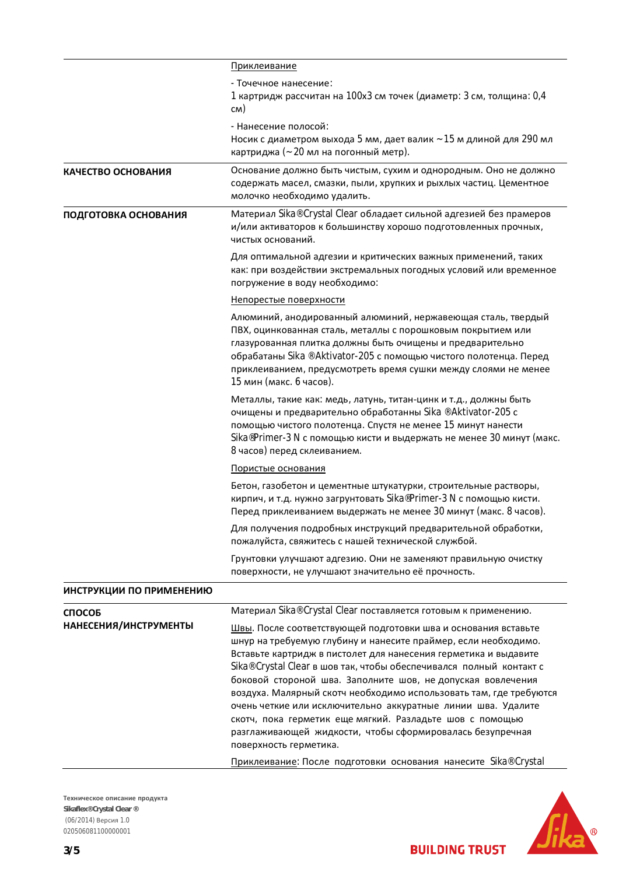|                          | Приклеивание                                                                                                                                                                                                                                                                                                                                                                                                                                                                    |
|--------------------------|---------------------------------------------------------------------------------------------------------------------------------------------------------------------------------------------------------------------------------------------------------------------------------------------------------------------------------------------------------------------------------------------------------------------------------------------------------------------------------|
|                          | - Точечное нанесение:<br>1 картридж рассчитан на 100х3 см точек (диаметр: 3 см, толщина: 0,4<br>CM)                                                                                                                                                                                                                                                                                                                                                                             |
|                          | - Нанесение полосой:<br>Носик с диаметром выхода 5 мм, дает валик ~ 15 м длиной для 290 мл<br>картриджа (~ 20 мл на погонный метр).                                                                                                                                                                                                                                                                                                                                             |
| КАЧЕСТВО ОСНОВАНИЯ       | Основание должно быть чистым, сухим и однородным. Оно не должно<br>содержать масел, смазки, пыли, хрупких и рыхлых частиц. Цементное<br>молочко необходимо удалить.                                                                                                                                                                                                                                                                                                             |
| ПОДГОТОВКА ОСНОВАНИЯ     | Материал Sika® Crystal Clear обладает сильной адгезией без прамеров<br>и/или активаторов к большинству хорошо подготовленных прочных,<br>чистых оснований.                                                                                                                                                                                                                                                                                                                      |
|                          | Для оптимальной адгезии и критических важных применений, таких<br>как: при воздействии экстремальных погодных условий или временное<br>погружение в воду необходимо:                                                                                                                                                                                                                                                                                                            |
|                          | Непорестые поверхности                                                                                                                                                                                                                                                                                                                                                                                                                                                          |
|                          | Алюминий, анодированный алюминий, нержавеющая сталь, твердый<br>ПВХ, оцинкованная сталь, металлы с порошковым покрытием или<br>глазурованная плитка должны быть очищены и предварительно<br>обрабатаны Sika ® Aktivator-205 с помощью чистого полотенца. Перед<br>приклеиванием, предусмотреть время сушки между слоями не менее<br>15 мин (макс. 6 часов).                                                                                                                     |
|                          | Металлы, такие как: медь, латунь, титан-цинк и т.д., должны быть<br>очищены и предварительно обработанны Sika ® Aktivator-205 с<br>помощью чистого полотенца. Спустя не менее 15 минут нанести<br>Sika®Primer-3 N с помощью кисти и выдержать не менее 30 минут (макс.<br>8 часов) перед склеиванием.                                                                                                                                                                           |
|                          | Пористые основания                                                                                                                                                                                                                                                                                                                                                                                                                                                              |
|                          | Бетон, газобетон и цементные штукатурки, строительные растворы,<br>кирпич, и т.д. нужно загрунтовать Sika®Primer-3 N с помощью кисти.<br>Перед приклеиванием выдержать не менее 30 минут (макс. 8 часов).                                                                                                                                                                                                                                                                       |
|                          | Для получения подробных инструкций предварительной обработки,<br>пожалуйста, свяжитесь с нашей технической службой.                                                                                                                                                                                                                                                                                                                                                             |
|                          | Грунтовки улучшают адгезию. Они не заменяют правильную очистку<br>поверхности, не улучшают значительно её прочность.                                                                                                                                                                                                                                                                                                                                                            |
| ИНСТРУКЦИИ ПО ПРИМЕНЕНИЮ |                                                                                                                                                                                                                                                                                                                                                                                                                                                                                 |
| <b>СПОСОБ</b>            | Материал Sika® Crystal Clear поставляется готовым к применению.                                                                                                                                                                                                                                                                                                                                                                                                                 |
| НАНЕСЕНИЯ/ИНСТРУМЕНТЫ    | Швы. После соответствующей подготовки шва и основания вставьте<br>шнур на требуемую глубину и нанесите праймер, если необходимо.<br>Вставьте картридж в пистолет для нанесения герметика и выдавите<br>Sika® Crystal Clear в шов так, чтобы обеспечивался полный контакт с<br>боковой стороной шва. Заполните шов, не допуская вовлечения<br>воздуха. Малярный скотч необходимо использовать там, где требуются<br>очень четкие или исключительно аккуратные линии шва. Удалите |
|                          | скотч, пока герметик еще мягкий. Разладьте шов с помощью<br>разглаживающей жидкости, чтобы сформировалась безупречная<br>поверхность герметика.                                                                                                                                                                                                                                                                                                                                 |
|                          | Приклеивание: После подготовки основания нанесите Sika® Crystal                                                                                                                                                                                                                                                                                                                                                                                                                 |

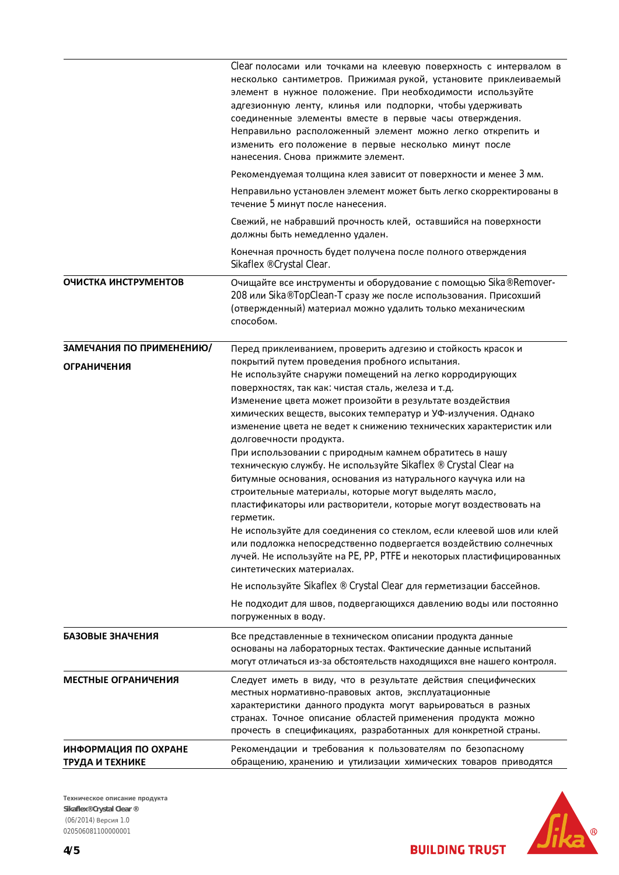|                                         | Сеаг полосами или точками на клеевую поверхность с интервалом в<br>несколько сантиметров. Прижимая рукой, установите приклеиваемый<br>элемент в нужное положение. При необходимости используйте<br>адгезионную ленту, клинья или подпорки, чтобы удерживать<br>соединенные элементы вместе в первые часы отверждения.<br>Неправильно расположенный элемент можно легко открепить и<br>изменить его положение в первые несколько минут после<br>нанесения. Снова прижмите элемент.                                                                                                                                                                                                                                                                                                                                                                                                                                                                                                                                                                      |
|-----------------------------------------|--------------------------------------------------------------------------------------------------------------------------------------------------------------------------------------------------------------------------------------------------------------------------------------------------------------------------------------------------------------------------------------------------------------------------------------------------------------------------------------------------------------------------------------------------------------------------------------------------------------------------------------------------------------------------------------------------------------------------------------------------------------------------------------------------------------------------------------------------------------------------------------------------------------------------------------------------------------------------------------------------------------------------------------------------------|
|                                         | Рекомендуемая толщина клея зависит от поверхности и менее 3 мм.                                                                                                                                                                                                                                                                                                                                                                                                                                                                                                                                                                                                                                                                                                                                                                                                                                                                                                                                                                                        |
|                                         | Неправильно установлен элемент может быть легко скорректированы в<br>течение 5 минут после нанесения.                                                                                                                                                                                                                                                                                                                                                                                                                                                                                                                                                                                                                                                                                                                                                                                                                                                                                                                                                  |
|                                         | Свежий, не набравший прочность клей, оставшийся на поверхности<br>должны быть немедленно удален.                                                                                                                                                                                                                                                                                                                                                                                                                                                                                                                                                                                                                                                                                                                                                                                                                                                                                                                                                       |
|                                         | Конечная прочность будет получена после полного отверждения<br>Sikaflex ® Crystal Clear.                                                                                                                                                                                                                                                                                                                                                                                                                                                                                                                                                                                                                                                                                                                                                                                                                                                                                                                                                               |
| ОЧИСТКА ИНСТРУМЕНТОВ                    | Очищайте все инструменты и оборудование с помощью Sika® Remover-<br>208 или Sika® TopClean-T сразу же после использования. Присохший<br>(отвержденный) материал можно удалить только механическим<br>способом.                                                                                                                                                                                                                                                                                                                                                                                                                                                                                                                                                                                                                                                                                                                                                                                                                                         |
| ЗАМЕЧАНИЯ ПО ПРИМЕНЕНИЮ/                | Перед приклеиванием, проверить адгезию и стойкость красок и                                                                                                                                                                                                                                                                                                                                                                                                                                                                                                                                                                                                                                                                                                                                                                                                                                                                                                                                                                                            |
| <b>ОГРАНИЧЕНИЯ</b>                      | покрытий путем проведения пробного испытания.<br>Не используйте снаружи помещений на легко корродирующих<br>поверхностях, так как: чистая сталь, железа и т.д.<br>Изменение цвета может произойти в результате воздействия<br>химических веществ, высоких температур и УФ-излучения. Однако<br>изменение цвета не ведет к снижению технических характеристик или<br>долговечности продукта.<br>При использовании с природным камнем обратитесь в нашу<br>техническую службу. Не используйте Sikaflex ® Crystal Clear на<br>битумные основания, основания из натурального каучука или на<br>строительные материалы, которые могут выделять масло,<br>пластификаторы или растворители, которые могут воздествовать на<br>герметик.<br>Не используйте для соединения со стеклом, если клеевой шов или клей<br>или подложка непосредственно подвергается воздействию солнечных<br>лучей. Не используйте на PE, PP, PTFE и некоторых пластифицированных<br>синтетических материалах.<br>Не используйте Sikaflex ® Crystal Clear для герметизации бассейнов. |
|                                         | Не подходит для швов, подвергающихся давлению воды или постоянно<br>погруженных в воду.                                                                                                                                                                                                                                                                                                                                                                                                                                                                                                                                                                                                                                                                                                                                                                                                                                                                                                                                                                |
| БАЗОВЫЕ ЗНАЧЕНИЯ                        | Все представленные в техническом описании продукта данные<br>основаны на лабораторных тестах. Фактические данные испытаний<br>могут отличаться из-за обстоятельств находящихся вне нашего контроля.                                                                                                                                                                                                                                                                                                                                                                                                                                                                                                                                                                                                                                                                                                                                                                                                                                                    |
| МЕСТНЫЕ ОГРАНИЧЕНИЯ                     | Следует иметь в виду, что в результате действия специфических<br>местных нормативно-правовых актов, эксплуатационные<br>характеристики данного продукта могут варьироваться в разных<br>странах. Точное описание областей применения продукта можно<br>прочесть в спецификациях, разработанных для конкретной страны.                                                                                                                                                                                                                                                                                                                                                                                                                                                                                                                                                                                                                                                                                                                                  |
| ИНФОРМАЦИЯ ПО ОХРАНЕ<br>ТРУДА И ТЕХНИКЕ | Рекомендации и требования к пользователям по безопасному<br>обращению, хранению и утилизации химических товаров приводятся                                                                                                                                                                                                                                                                                                                                                                                                                                                                                                                                                                                                                                                                                                                                                                                                                                                                                                                             |

Техническое описание продукта Sikaflex® Crystal Clear ® (06/2014) Версия 1.0 020506081100000001